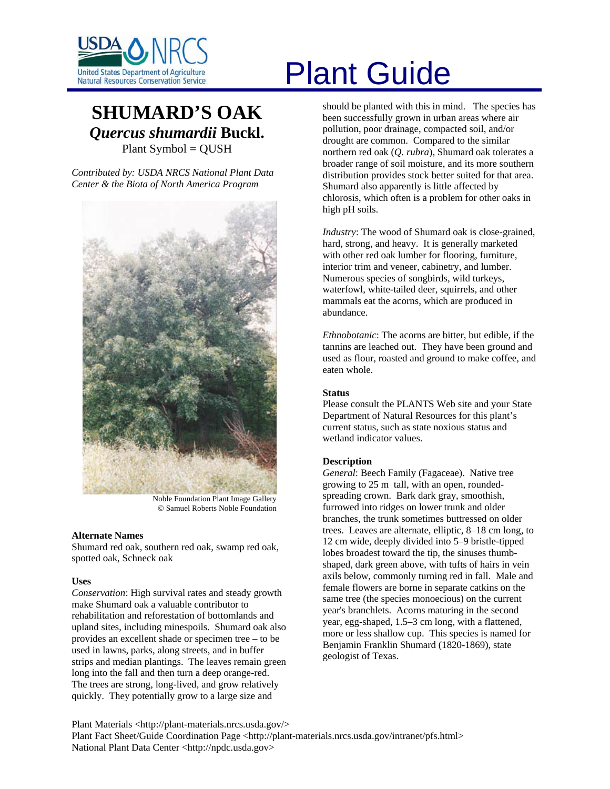

# **SHUMARD'S OAK** *Quercus shumardii* **Buckl.**  Plant Symbol = QUSH

*Contributed by: USDA NRCS National Plant Data Center & the Biota of North America Program* 



Noble Foundation Plant Image Gallery © Samuel Roberts Noble Foundation

# **Alternate Names**

Shumard red oak, southern red oak, swamp red oak, spotted oak, Schneck oak

# **Uses**

*Conservation*: High survival rates and steady growth make Shumard oak a valuable contributor to rehabilitation and reforestation of bottomlands and upland sites, including minespoils. Shumard oak also provides an excellent shade or specimen tree – to be used in lawns, parks, along streets, and in buffer strips and median plantings. The leaves remain green long into the fall and then turn a deep orange-red. The trees are strong, long-lived, and grow relatively quickly. They potentially grow to a large size and

# United States Department of Agriculture<br>Natural Resources Conservation Service

should be planted with this in mind. The species has been successfully grown in urban areas where air pollution, poor drainage, compacted soil, and/or drought are common. Compared to the similar northern red oak (*Q. rubra*), Shumard oak tolerates a broader range of soil moisture, and its more southern distribution provides stock better suited for that area. Shumard also apparently is little affected by chlorosis, which often is a problem for other oaks in high pH soils.

*Industry*: The wood of Shumard oak is close-grained, hard, strong, and heavy. It is generally marketed with other red oak lumber for flooring, furniture, interior trim and veneer, cabinetry, and lumber. Numerous species of songbirds, wild turkeys, waterfowl, white-tailed deer, squirrels, and other mammals eat the acorns, which are produced in abundance.

*Ethnobotanic*: The acorns are bitter, but edible, if the tannins are leached out. They have been ground and used as flour, roasted and ground to make coffee, and eaten whole.

#### **Status**

Please consult the PLANTS Web site and your State Department of Natural Resources for this plant's current status, such as state noxious status and wetland indicator values.

# **Description**

*General*: Beech Family (Fagaceae). Native tree growing to 25 m tall, with an open, roundedspreading crown. Bark dark gray, smoothish, furrowed into ridges on lower trunk and older branches, the trunk sometimes buttressed on older trees. Leaves are alternate, elliptic, 8–18 cm long, to 12 cm wide, deeply divided into 5–9 bristle-tipped lobes broadest toward the tip, the sinuses thumbshaped, dark green above, with tufts of hairs in vein axils below, commonly turning red in fall. Male and female flowers are borne in separate catkins on the same tree (the species monoecious) on the current year's branchlets. Acorns maturing in the second year, egg-shaped, 1.5–3 cm long, with a flattened, more or less shallow cup. This species is named for Benjamin Franklin Shumard (1820-1869), state geologist of Texas.

Plant Materials <http://plant-materials.nrcs.usda.gov/> Plant Fact Sheet/Guide Coordination Page <http://plant-materials.nrcs.usda.gov/intranet/pfs.html> National Plant Data Center <http://npdc.usda.gov>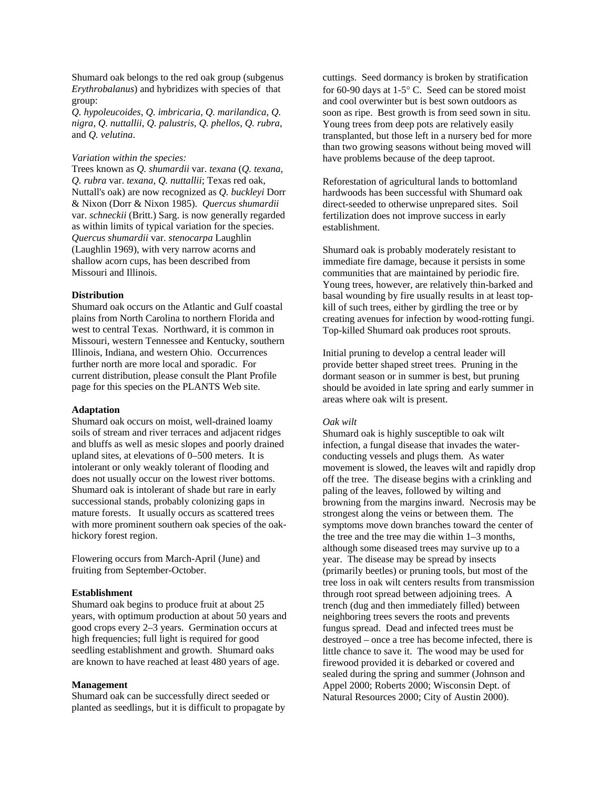Shumard oak belongs to the red oak group (subgenus *Erythrobalanus*) and hybridizes with species of that group:

*Q. hypoleucoides*, *Q. imbricaria*, *Q. marilandica*, *Q. nigra*, *Q. nuttallii*, *Q. palustris*, *Q. phellos*, *Q. rubra*, and *Q. velutina*.

#### *Variation within the species:*

Trees known as *Q. shumardii* var. *texana* (*Q. texana, Q. rubra* var. *texana*, *Q. nuttallii*; Texas red oak, Nuttall's oak) are now recognized as *Q. buckleyi* Dorr & Nixon (Dorr & Nixon 1985). *Quercus shumardii* var. *schneckii* (Britt.) Sarg. is now generally regarded as within limits of typical variation for the species. *Quercus shumardii* var. *stenocarpa* Laughlin (Laughlin 1969), with very narrow acorns and shallow acorn cups, has been described from Missouri and Illinois.

# **Distribution**

Shumard oak occurs on the Atlantic and Gulf coastal plains from North Carolina to northern Florida and west to central Texas. Northward, it is common in Missouri, western Tennessee and Kentucky, southern Illinois, Indiana, and western Ohio. Occurrences further north are more local and sporadic. For current distribution, please consult the Plant Profile page for this species on the PLANTS Web site.

#### **Adaptation**

Shumard oak occurs on moist, well-drained loamy soils of stream and river terraces and adjacent ridges and bluffs as well as mesic slopes and poorly drained upland sites, at elevations of 0–500 meters. It is intolerant or only weakly tolerant of flooding and does not usually occur on the lowest river bottoms. Shumard oak is intolerant of shade but rare in early successional stands, probably colonizing gaps in mature forests. It usually occurs as scattered trees with more prominent southern oak species of the oakhickory forest region.

Flowering occurs from March-April (June) and fruiting from September-October.

# **Establishment**

Shumard oak begins to produce fruit at about 25 years, with optimum production at about 50 years and good crops every 2–3 years. Germination occurs at high frequencies; full light is required for good seedling establishment and growth. Shumard oaks are known to have reached at least 480 years of age.

#### **Management**

Shumard oak can be successfully direct seeded or planted as seedlings, but it is difficult to propagate by

cuttings. Seed dormancy is broken by stratification for 60-90 days at 1-5° C. Seed can be stored moist and cool overwinter but is best sown outdoors as soon as ripe. Best growth is from seed sown in situ. Young trees from deep pots are relatively easily transplanted, but those left in a nursery bed for more than two growing seasons without being moved will have problems because of the deep taproot.

Reforestation of agricultural lands to bottomland hardwoods has been successful with Shumard oak direct-seeded to otherwise unprepared sites. Soil fertilization does not improve success in early establishment.

Shumard oak is probably moderately resistant to immediate fire damage, because it persists in some communities that are maintained by periodic fire. Young trees, however, are relatively thin-barked and basal wounding by fire usually results in at least topkill of such trees, either by girdling the tree or by creating avenues for infection by wood-rotting fungi. Top-killed Shumard oak produces root sprouts.

Initial pruning to develop a central leader will provide better shaped street trees. Pruning in the dormant season or in summer is best, but pruning should be avoided in late spring and early summer in areas where oak wilt is present.

# *Oak wilt*

Shumard oak is highly susceptible to oak wilt infection, a fungal disease that invades the waterconducting vessels and plugs them. As water movement is slowed, the leaves wilt and rapidly drop off the tree. The disease begins with a crinkling and paling of the leaves, followed by wilting and browning from the margins inward. Necrosis may be strongest along the veins or between them. The symptoms move down branches toward the center of the tree and the tree may die within 1–3 months, although some diseased trees may survive up to a year. The disease may be spread by insects (primarily beetles) or pruning tools, but most of the tree loss in oak wilt centers results from transmission through root spread between adjoining trees. A trench (dug and then immediately filled) between neighboring trees severs the roots and prevents fungus spread. Dead and infected trees must be destroyed – once a tree has become infected, there is little chance to save it. The wood may be used for firewood provided it is debarked or covered and sealed during the spring and summer (Johnson and Appel 2000; Roberts 2000; Wisconsin Dept. of Natural Resources 2000; City of Austin 2000).